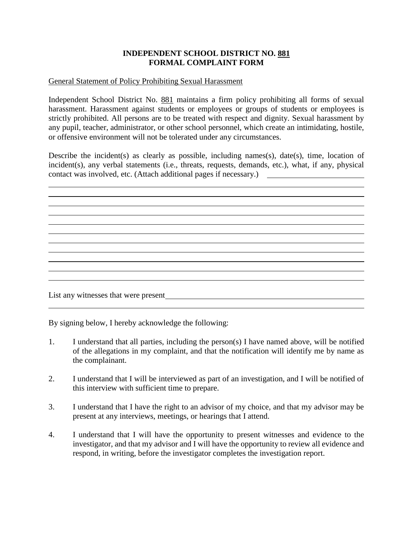## **INDEPENDENT SCHOOL DISTRICT NO. 881 FORMAL COMPLAINT FORM**

## General Statement of Policy Prohibiting Sexual Harassment

Independent School District No. 881 maintains a firm policy prohibiting all forms of sexual harassment. Harassment against students or employees or groups of students or employees is strictly prohibited. All persons are to be treated with respect and dignity. Sexual harassment by any pupil, teacher, administrator, or other school personnel, which create an intimidating, hostile, or offensive environment will not be tolerated under any circumstances.

Describe the incident(s) as clearly as possible, including names(s), date(s), time, location of incident(s), any verbal statements (i.e., threats, requests, demands, etc.), what, if any, physical contact was involved, etc. (Attach additional pages if necessary.)

List any witnesses that were present

By signing below, I hereby acknowledge the following:

- 1. I understand that all parties, including the person(s) I have named above, will be notified of the allegations in my complaint, and that the notification will identify me by name as the complainant.
- 2. I understand that I will be interviewed as part of an investigation, and I will be notified of this interview with sufficient time to prepare.
- 3. I understand that I have the right to an advisor of my choice, and that my advisor may be present at any interviews, meetings, or hearings that I attend.
- 4. I understand that I will have the opportunity to present witnesses and evidence to the investigator, and that my advisor and I will have the opportunity to review all evidence and respond, in writing, before the investigator completes the investigation report.